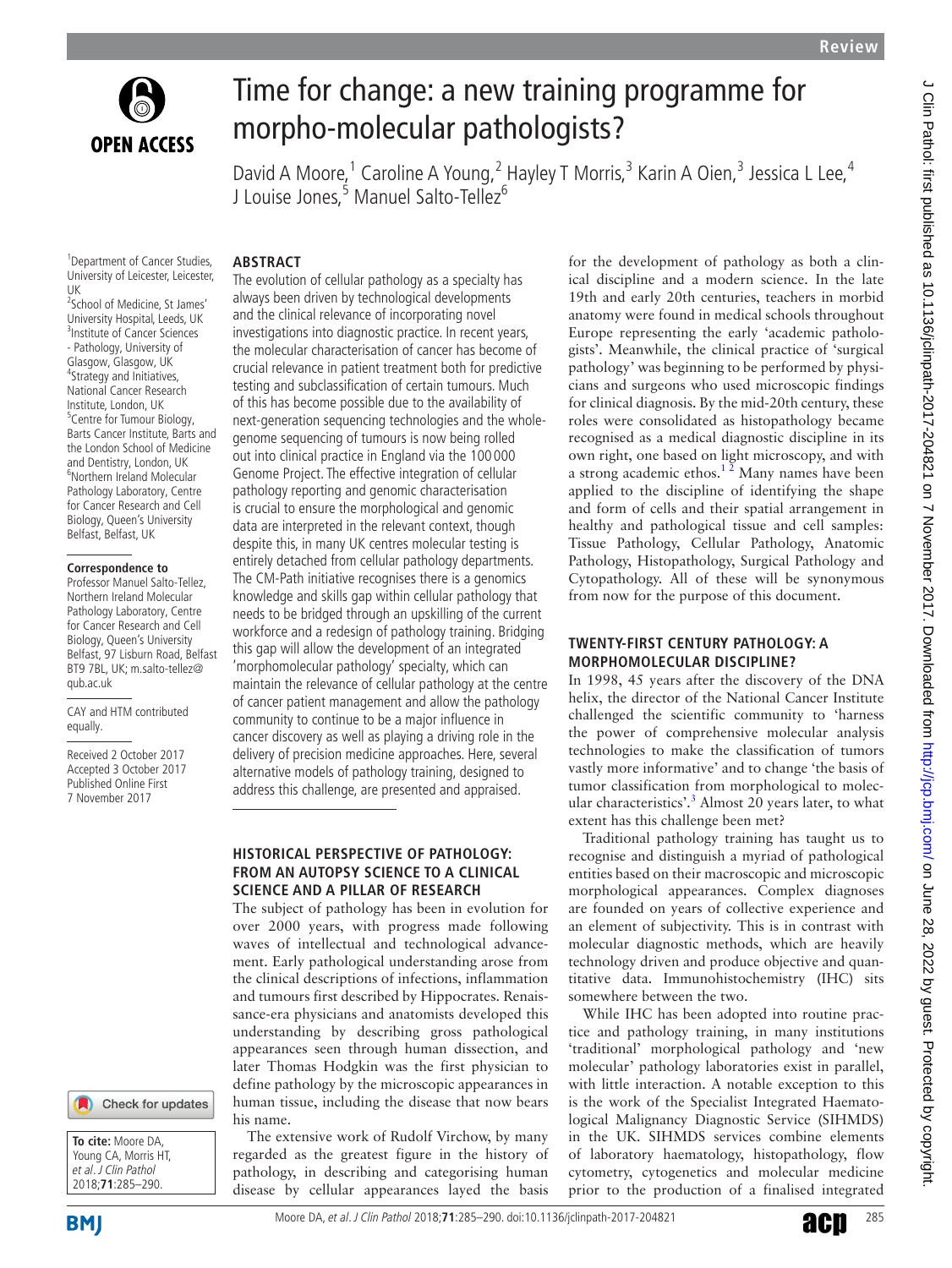

# Time for change: a new training programme for morpho-molecular pathologists?

David A Moore,<sup>1</sup> Caroline A Young,<sup>2</sup> Hayley T Morris,<sup>3</sup> Karin A Oien,<sup>3</sup> Jessica L Lee,<sup>4</sup> J Louise Jones,<sup>5</sup> Manuel Salto-Tellez<sup>6</sup>

<sup>1</sup> Department of Cancer Studies, University of Leicester, Leicester, UK

<sup>2</sup>School of Medicine, St James' University Hospital, Leeds, UK 3 Institute of Cancer Sciences - Pathology, University of Glasgow, Glasgow, UK 4 Strategy and Initiatives, National Cancer Research Institute, London, UK <sup>5</sup> Centre for Tumour Biology, Barts Cancer Institute, Barts and the London School of Medicine and Dentistry, London, UK 6 Northern Ireland Molecular Pathology Laboratory, Centre for Cancer Research and Cell Biology, Queen's University Belfast, Belfast, UK

#### **Correspondence to**

Professor Manuel Salto-Tellez, Northern Ireland Molecular Pathology Laboratory, Centre for Cancer Research and Cell Biology, Queen's University Belfast, 97 Lisburn Road, Belfast BT9 7BL, UK; m.salto-tellez@ qub.ac.uk

CAY and HTM contributed equally.

Received 2 October 2017 Accepted 3 October 2017 Published Online First 7 November 2017



**To cite:** Moore DA, Young CA, Morris HT, et al. J Clin Pathol 2018;**71**:285–290.

# **Abstract**

The evolution of cellular pathology as a specialty has always been driven by technological developments and the clinical relevance of incorporating novel investigations into diagnostic practice. In recent years, the molecular characterisation of cancer has become of crucial relevance in patient treatment both for predictive testing and subclassification of certain tumours. Much of this has become possible due to the availability of next-generation sequencing technologies and the wholegenome sequencing of tumours is now being rolled out into clinical practice in England via the 100 000 Genome Project. The effective integration of cellular pathology reporting and genomic characterisation is crucial to ensure the morphological and genomic data are interpreted in the relevant context, though despite this, in many UK centres molecular testing is entirely detached from cellular pathology departments. The CM-Path initiative recognises there is a genomics knowledge and skills gap within cellular pathology that needs to be bridged through an upskilling of the current workforce and a redesign of pathology training. Bridging this gap will allow the development of an integrated 'morphomolecular pathology' specialty, which can maintain the relevance of cellular pathology at the centre of cancer patient management and allow the pathology community to continue to be a major influence in cancer discovery as well as playing a driving role in the delivery of precision medicine approaches. Here, several alternative models of pathology training, designed to address this challenge, are presented and appraised.

#### **HISTORICAL PERSPECTIVE OF PATHOLOGY: from an autopsy science to a clinical science and a pillar of research**

The subject of pathology has been in evolution for over 2000 years, with progress made following waves of intellectual and technological advancement. Early pathological understanding arose from the clinical descriptions of infections, inflammation and tumours first described by Hippocrates. Renaissance-era physicians and anatomists developed this understanding by describing gross pathological appearances seen through human dissection, and later Thomas Hodgkin was the first physician to define pathology by the microscopic appearances in human tissue, including the disease that now bears his name.

The extensive work of Rudolf Virchow, by many regarded as the greatest figure in the history of pathology, in describing and categorising human disease by cellular appearances layed the basis for the development of pathology as both a clinical discipline and a modern science. In the late 19th and early 20th centuries, teachers in morbid anatomy were found in medical schools throughout Europe representing the early 'academic pathologists'. Meanwhile, the clinical practice of 'surgical pathology' was beginning to be performed by physicians and surgeons who used microscopic findings for clinical diagnosis. By the mid-20th century, these roles were consolidated as histopathology became recognised as a medical diagnostic discipline in its own right, one based on light microscopy, and with a strong academic ethos.<sup>12</sup> Many names have been applied to the discipline of identifying the shape and form of cells and their spatial arrangement in healthy and pathological tissue and cell samples: Tissue Pathology, Cellular Pathology, Anatomic Pathology, Histopathology, Surgical Pathology and Cytopathology. All of these will be synonymous from now for the purpose of this document.

## **TWENTY-FIRST CENTURY PATHOLOGY: A morphomolecular discipline?**

In 1998, 45 years after the discovery of the DNA helix, the director of the National Cancer Institute challenged the scientific community to 'harness the power of comprehensive molecular analysis technologies to make the classification of tumors vastly more informative' and to change 'the basis of tumor classification from morphological to molecular characteristics'.<sup>3</sup> Almost 20 years later, to what extent has this challenge been met?

Traditional pathology training has taught us to recognise and distinguish a myriad of pathological entities based on their macroscopic and microscopic morphological appearances. Complex diagnoses are founded on years of collective experience and an element of subjectivity. This is in contrast with molecular diagnostic methods, which are heavily technology driven and produce objective and quantitative data. Immunohistochemistry (IHC) sits somewhere between the two.

While IHC has been adopted into routine practice and pathology training, in many institutions 'traditional' morphological pathology and 'new molecular' pathology laboratories exist in parallel, with little interaction. A notable exception to this is the work of the Specialist Integrated Haematological Malignancy Diagnostic Service (SIHMDS) in the UK. SIHMDS services combine elements of laboratory haematology, histopathology, flow cytometry, cytogenetics and molecular medicine prior to the production of a finalised integrated

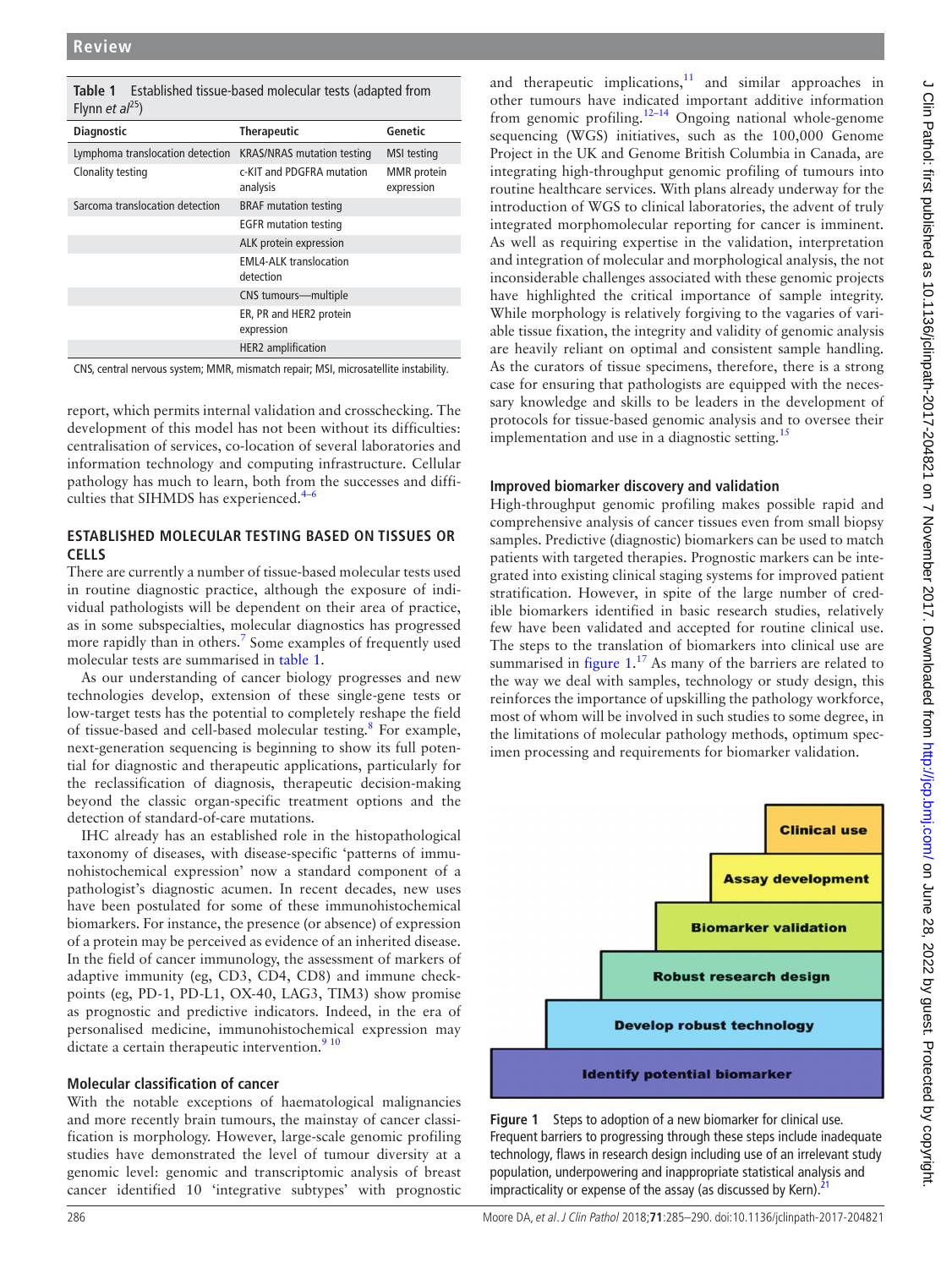| Flynn et $al^{25}$ )             |                                            |                                  |
|----------------------------------|--------------------------------------------|----------------------------------|
| <b>Diagnostic</b>                | <b>Therapeutic</b>                         | Genetic                          |
| Lymphoma translocation detection | <b>KRAS/NRAS mutation testing</b>          | MSI testing                      |
| Clonality testing                | c-KIT and PDGFRA mutation<br>analysis      | <b>MMR</b> protein<br>expression |
| Sarcoma translocation detection  | <b>BRAF</b> mutation testing               |                                  |
|                                  | <b>EGFR</b> mutation testing               |                                  |
|                                  | ALK protein expression                     |                                  |
|                                  | <b>EML4-ALK translocation</b><br>detection |                                  |
|                                  | CNS tumours—multiple                       |                                  |
|                                  | ER, PR and HER2 protein<br>expression      |                                  |
|                                  | <b>HER2</b> amplification                  |                                  |

<span id="page-1-0"></span>**Table 1** Established tissue-based molecular tests (adapted from

CNS, central nervous system; MMR, mismatch repair; MSI, microsatellite instability.

report, which permits internal validation and crosschecking. The development of this model has not been without its difficulties: centralisation of services, co-location of several laboratories and information technology and computing infrastructure. Cellular pathology has much to learn, both from the successes and difficulties that SIHMDS has experienced. $4-6$ 

#### **Established molecular testing based on tissues or cells**

There are currently a number of tissue-based molecular tests used in routine diagnostic practice, although the exposure of individual pathologists will be dependent on their area of practice, as in some subspecialties, molecular diagnostics has progressed more rapidly than in others.<sup>[7](#page-4-3)</sup> Some examples of frequently used molecular tests are summarised in [table](#page-1-0) 1.

As our understanding of cancer biology progresses and new technologies develop, extension of these single-gene tests or low-target tests has the potential to completely reshape the field of tissue-based and cell-based molecular testing.<sup>[8](#page-4-4)</sup> For example, next-generation sequencing is beginning to show its full potential for diagnostic and therapeutic applications, particularly for the reclassification of diagnosis, therapeutic decision-making beyond the classic organ-specific treatment options and the detection of standard-of-care mutations.

IHC already has an established role in the histopathological taxonomy of diseases, with disease-specific 'patterns of immunohistochemical expression' now a standard component of a pathologist's diagnostic acumen. In recent decades, new uses have been postulated for some of these immunohistochemical biomarkers. For instance, the presence (or absence) of expression of a protein may be perceived as evidence of an inherited disease. In the field of cancer immunology, the assessment of markers of adaptive immunity (eg, CD3, CD4, CD8) and immune checkpoints (eg, PD-1, PD-L1, OX-40, LAG3, TIM3) show promise as prognostic and predictive indicators. Indeed, in the era of personalised medicine, immunohistochemical expression may dictate a certain therapeutic intervention. $910$ 

## **Molecular classification of cancer**

With the notable exceptions of haematological malignancies and more recently brain tumours, the mainstay of cancer classification is morphology. However, large-scale genomic profiling studies have demonstrated the level of tumour diversity at a genomic level: genomic and transcriptomic analysis of breast cancer identified 10 'integrative subtypes' with prognostic

and therapeutic implications, $11$  and similar approaches in other tumours have indicated important additive information from genomic profiling.<sup>12–14</sup> Ongoing national whole-genome sequencing (WGS) initiatives, such as the 100,000 Genome Project in the UK and Genome British Columbia in Canada, are integrating high-throughput genomic profiling of tumours into routine healthcare services. With plans already underway for the introduction of WGS to clinical laboratories, the advent of truly integrated morphomolecular reporting for cancer is imminent. As well as requiring expertise in the validation, interpretation and integration of molecular and morphological analysis, the not inconsiderable challenges associated with these genomic projects have highlighted the critical importance of sample integrity. While morphology is relatively forgiving to the vagaries of variable tissue fixation, the integrity and validity of genomic analysis are heavily reliant on optimal and consistent sample handling. As the curators of tissue specimens, therefore, there is a strong case for ensuring that pathologists are equipped with the necessary knowledge and skills to be leaders in the development of protocols for tissue-based genomic analysis and to oversee their implementation and use in a diagnostic setting.<sup>[15](#page-4-8)</sup>

## **Improved biomarker discovery and validation**

High-throughput genomic profiling makes possible rapid and comprehensive analysis of cancer tissues even from small biopsy samples. Predictive (diagnostic) biomarkers can be used to match patients with targeted therapies. Prognostic markers can be integrated into existing clinical staging systems for improved patient stratification. However, in spite of the large number of credible biomarkers identified in basic research studies, relatively few have been validated and accepted for routine clinical use. The steps to the translation of biomarkers into clinical use are summarised in [figure](#page-1-1)  $1.^{17}$  As many of the barriers are related to the way we deal with samples, technology or study design, this reinforces the importance of upskilling the pathology workforce, most of whom will be involved in such studies to some degree, in the limitations of molecular pathology methods, optimum specimen processing and requirements for biomarker validation.



<span id="page-1-1"></span>**Figure 1** Steps to adoption of a new biomarker for clinical use. Frequent barriers to progressing through these steps include inadequate technology, flaws in research design including use of an irrelevant study population, underpowering and inappropriate statistical analysis and impracticality or expense of the assay (as discussed by Kern).<sup>2</sup>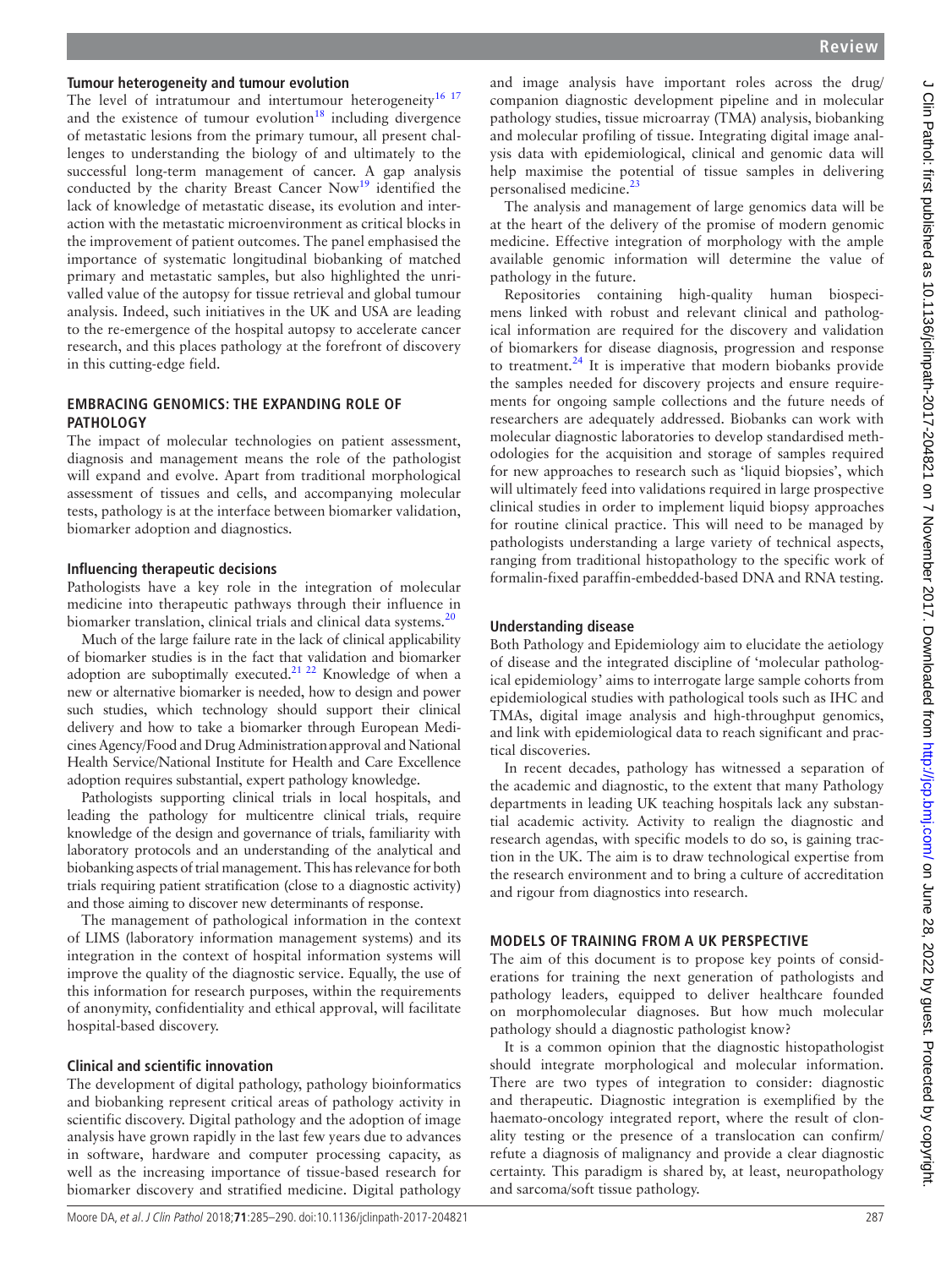#### **Tumour heterogeneity and tumour evolution**

The level of intratumour and intertumour heterogeneity<sup>[16 17](#page-4-10)</sup> and the existence of tumour evolution $18$  including divergence of metastatic lesions from the primary tumour, all present challenges to understanding the biology of and ultimately to the successful long-term management of cancer. A gap analysis conducted by the charity Breast Cancer Now<sup>[19](#page-4-12)</sup> identified the lack of knowledge of metastatic disease, its evolution and interaction with the metastatic microenvironment as critical blocks in the improvement of patient outcomes. The panel emphasised the importance of systematic longitudinal biobanking of matched primary and metastatic samples, but also highlighted the unrivalled value of the autopsy for tissue retrieval and global tumour analysis. Indeed, such initiatives in the UK and USA are leading to the re-emergence of the hospital autopsy to accelerate cancer research, and this places pathology at the forefront of discovery in this cutting-edge field.

## **Embracing genomics: the expanding role of path ology**

The impact of molecular technologies on patient assessment, diagnosis and management means the role of the pathologist will expand and evolve. Apart from traditional morphological assessment of tissues and cells, and accompanying molecular tests, pathology is at the interface between biomarker validation, biomarker adoption and diagnostics.

#### **Influencing therapeutic decisions**

Pathologists have a key role in the integration of molecular medicine into therapeutic pathways through their influence in biomarker translation, clinical trials and clinical data systems.<sup>[20](#page-5-2)</sup>

Much of the large failure rate in the lack of clinical applicability of biomarker studies is in the fact that validation and biomarker adoption are suboptimally executed.<sup>21 22</sup> Knowledge of when a new or alternative biomarker is needed, how to design and power such studies, which technology should support their clinical delivery and how to take a biomarker through European Medicines Agency/Food and Drug Administrationapproval and National Health Service/National Institute for Health and Care Excellence adoption requires substantial, expert pathology knowledge.

Pathologists supporting clinical trials in local hospitals, and leading the pathology for multicentre clinical trials, require knowledge of the design and governance of trials, familiarity with laboratory protocols and an understanding of the analytical and biobanking aspects of trial management. This has relevance for both trials requiring patient stratification (close to a diagnostic activity) and those aiming to discover new determinants of response.

The management of pathological information in the context of LIMS (laboratory information management systems) and its integration in the context of hospital information systems will improve the quality of the diagnostic service. Equally, the use of this information for research purposes, within the requirements of anonymity, confidentiality and ethical approval, will facilitate hospital-based discovery.

## **Clinical and scientific innovation**

The development of digital pathology, pathology bioinformatics and biobanking represent critical areas of pathology activity in scientific discovery. Digital pathology and the adoption of image analysis have grown rapidly in the last few years due to advances in software, hardware and computer processing capacity, as well as the increasing importance of tissue-based research for biomarker discovery and stratified medicine. Digital pathology

and image analysis have important roles across the drug/ companion diagnostic development pipeline and in molecular pathology studies, tissue microarray (TMA) analysis, biobanking and molecular profiling of tissue. Integrating digital image analysis data with epidemiological, clinical and genomic data will help maximise the potential of tissue samples in delivering personalised medicine.<sup>23</sup>

The analysis and management of large genomics data will be at the heart of the delivery of the promise of modern genomic medicine. Effective integration of morphology with the ample available genomic information will determine the value of pathology in the future.

Repositories containing high-quality human biospecimens linked with robust and relevant clinical and pathological information are required for the discovery and validation of biomarkers for disease diagnosis, progression and response to treatment. $^{24}$  It is imperative that modern biobanks provide the samples needed for discovery projects and ensure requirements for ongoing sample collections and the future needs of researchers are adequately addressed. Biobanks can work with molecular diagnostic laboratories to develop standardised methodologies for the acquisition and storage of samples required for new approaches to research such as 'liquid biopsies', which will ultimately feed into validations required in large prospective clinical studies in order to implement liquid biopsy approaches for routine clinical practice. This will need to be managed by pathologists understanding a large variety of technical aspects, ranging from traditional histopathology to the specific work of formalin-fixed paraffin-embedded-based DNA and RNA testing.

## **Understanding disease**

Both Pathology and Epidemiology aim to elucidate the aetiology of disease and the integrated discipline of 'molecular pathological epidemiology' aims to interrogate large sample cohorts from epidemiological studies with pathological tools such as IHC and TMAs, digital image analysis and high-throughput genomics, and link with epidemiological data to reach significant and practical discoveries.

In recent decades, pathology has witnessed a separation of the academic and diagnostic, to the extent that many Pathology departments in leading UK teaching hospitals lack any substantial academic activity. Activity to realign the diagnostic and research agendas, with specific models to do so, is gaining traction in the UK. The aim is to draw technological expertise from the research environment and to bring a culture of accreditation and rigour from diagnostics into research.

## **Models of training from a UK perspective**

The aim of this document is to propose key points of considerations for training the next generation of pathologists and pathology leaders, equipped to deliver healthcare founded on morphomolecular diagnoses. But how much molecular pathology should a diagnostic pathologist know?

It is a common opinion that the diagnostic histopathologist should integrate morphological and molecular information. There are two types of integration to consider: diagnostic and therapeutic. Diagnostic integration is exemplified by the haemato-oncology integrated report, where the result of clonality testing or the presence of a translocation can confirm/ refute a diagnosis of malignancy and provide a clear diagnostic certainty. This paradigm is shared by, at least, neuropathology and sarcoma/soft tissue pathology.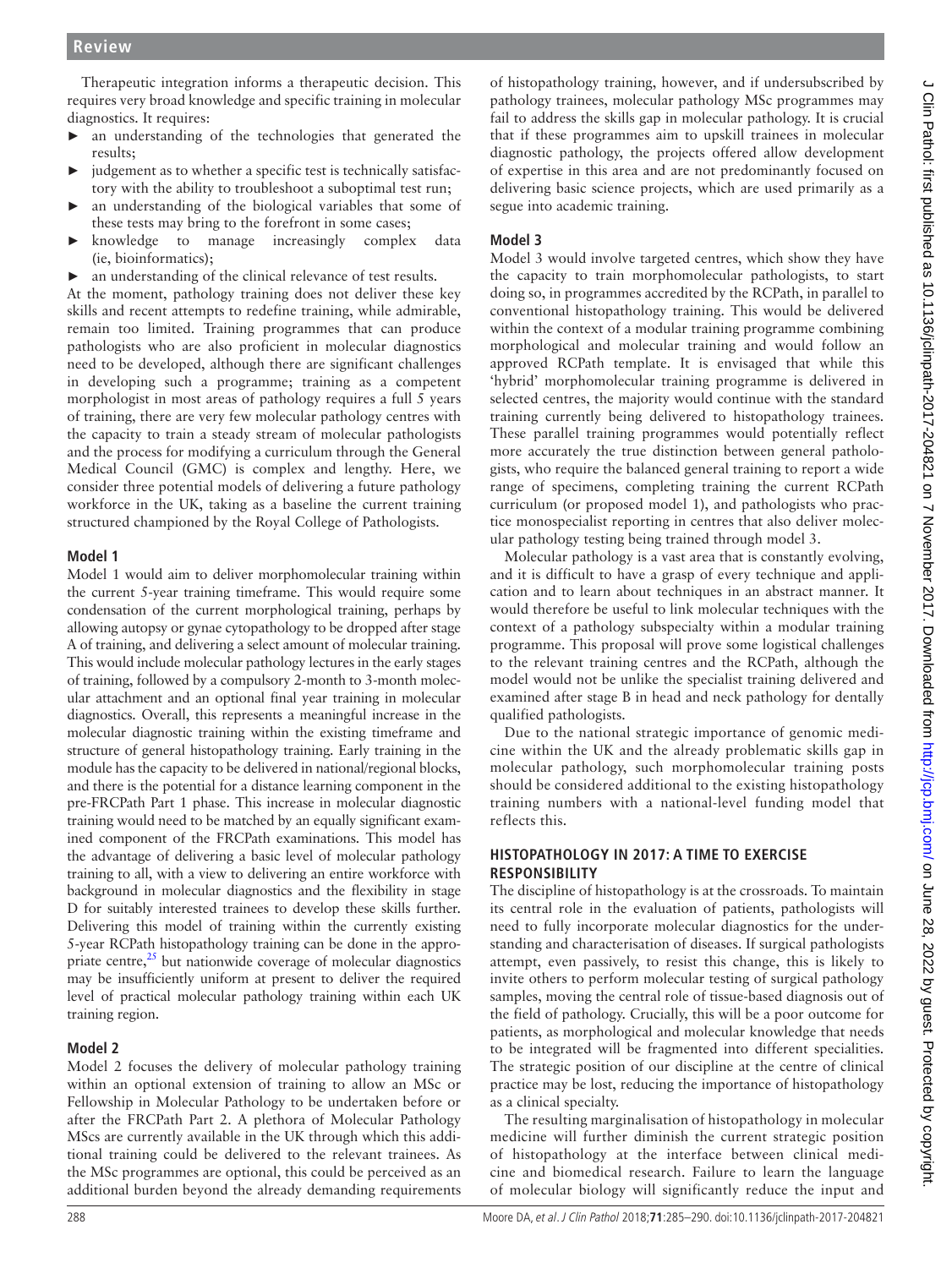Therapeutic integration informs a therapeutic decision. This requires very broad knowledge and specific training in molecular diagnostics. It requires:

- an understanding of the technologies that generated the results;
- ► judgement as to whether a specific test is technically satisfactory with the ability to troubleshoot a suboptimal test run;
- an understanding of the biological variables that some of these tests may bring to the forefront in some cases;
- knowledge to manage increasingly complex data (ie, bioinformatics);
- an understanding of the clinical relevance of test results.

At the moment, pathology training does not deliver these key skills and recent attempts to redefine training, while admirable, remain too limited. Training programmes that can produce pathologists who are also proficient in molecular diagnostics need to be developed, although there are significant challenges in developing such a programme; training as a competent morphologist in most areas of pathology requires a full 5 years of training, there are very few molecular pathology centres with the capacity to train a steady stream of molecular pathologists and the process for modifying a curriculum through the General Medical Council (GMC) is complex and lengthy. Here, we consider three potential models of delivering a future pathology workforce in the UK, taking as a baseline the current training structured championed by the Royal College of Pathologists.

## **Model 1**

Model 1 would aim to deliver morphomolecular training within the current 5-year training timeframe. This would require some condensation of the current morphological training, perhaps by allowing autopsy or gynae cytopathology to be dropped after stage A of training, and delivering a select amount of molecular training. This would include molecular pathology lectures in the early stages of training, followed by a compulsory 2-month to 3-month molecular attachment and an optional final year training in molecular diagnostics. Overall, this represents a meaningful increase in the molecular diagnostic training within the existing timeframe and structure of general histopathology training. Early training in the module has the capacity to be delivered in national/regional blocks, and there is the potential for a distance learning component in the pre-FRCPath Part 1 phase. This increase in molecular diagnostic training would need to be matched by an equally significant examined component of the FRCPath examinations. This model has the advantage of delivering a basic level of molecular pathology training to all, with a view to delivering an entire workforce with background in molecular diagnostics and the flexibility in stage D for suitably interested trainees to develop these skills further. Delivering this model of training within the currently existing 5-year RCPath histopathology training can be done in the appropriate centre, $^{25}$  $^{25}$  $^{25}$  but nationwide coverage of molecular diagnostics may be insufficiently uniform at present to deliver the required level of practical molecular pathology training within each UK training region.

#### **Model 2**

Model 2 focuses the delivery of molecular pathology training within an optional extension of training to allow an MSc or Fellowship in Molecular Pathology to be undertaken before or after the FRCPath Part 2. A plethora of Molecular Pathology MScs are currently available in the UK through which this additional training could be delivered to the relevant trainees. As the MSc programmes are optional, this could be perceived as an additional burden beyond the already demanding requirements

of histopathology training, however, and if undersubscribed by pathology trainees, molecular pathology MSc programmes may fail to address the skills gap in molecular pathology. It is crucial that if these programmes aim to upskill trainees in molecular diagnostic pathology, the projects offered allow development of expertise in this area and are not predominantly focused on delivering basic science projects, which are used primarily as a segue into academic training.

## **Model 3**

Model 3 would involve targeted centres, which show they have the capacity to train morphomolecular pathologists, to start doing so, in programmes accredited by the RCPath, in parallel to conventional histopathology training. This would be delivered within the context of a modular training programme combining morphological and molecular training and would follow an approved RCPath template. It is envisaged that while this 'hybrid' morphomolecular training programme is delivered in selected centres, the majority would continue with the standard training currently being delivered to histopathology trainees. These parallel training programmes would potentially reflect more accurately the true distinction between general pathologists, who require the balanced general training to report a wide range of specimens, completing training the current RCPath curriculum (or proposed model 1), and pathologists who practice monospecialist reporting in centres that also deliver molecular pathology testing being trained through model 3.

Molecular pathology is a vast area that is constantly evolving, and it is difficult to have a grasp of every technique and application and to learn about techniques in an abstract manner. It would therefore be useful to link molecular techniques with the context of a pathology subspecialty within a modular training programme. This proposal will prove some logistical challenges to the relevant training centres and the RCPath, although the model would not be unlike the specialist training delivered and examined after stage B in head and neck pathology for dentally qualified pathologists.

Due to the national strategic importance of genomic medicine within the UK and the already problematic skills gap in molecular pathology, such morphomolecular training posts should be considered additional to the existing histopathology training numbers with a national-level funding model that reflects this.

## **Histopath ology in 2017: a time to exercise responsibility**

The discipline of histopathology is at the crossroads. To maintain its central role in the evaluation of patients, pathologists will need to fully incorporate molecular diagnostics for the understanding and characterisation of diseases. If surgical pathologists attempt, even passively, to resist this change, this is likely to invite others to perform molecular testing of surgical pathology samples, moving the central role of tissue-based diagnosis out of the field of pathology. Crucially, this will be a poor outcome for patients, as morphological and molecular knowledge that needs to be integrated will be fragmented into different specialities. The strategic position of our discipline at the centre of clinical practice may be lost, reducing the importance of histopathology as a clinical specialty.

The resulting marginalisation of histopathology in molecular medicine will further diminish the current strategic position of histopathology at the interface between clinical medicine and biomedical research. Failure to learn the language of molecular biology will significantly reduce the input and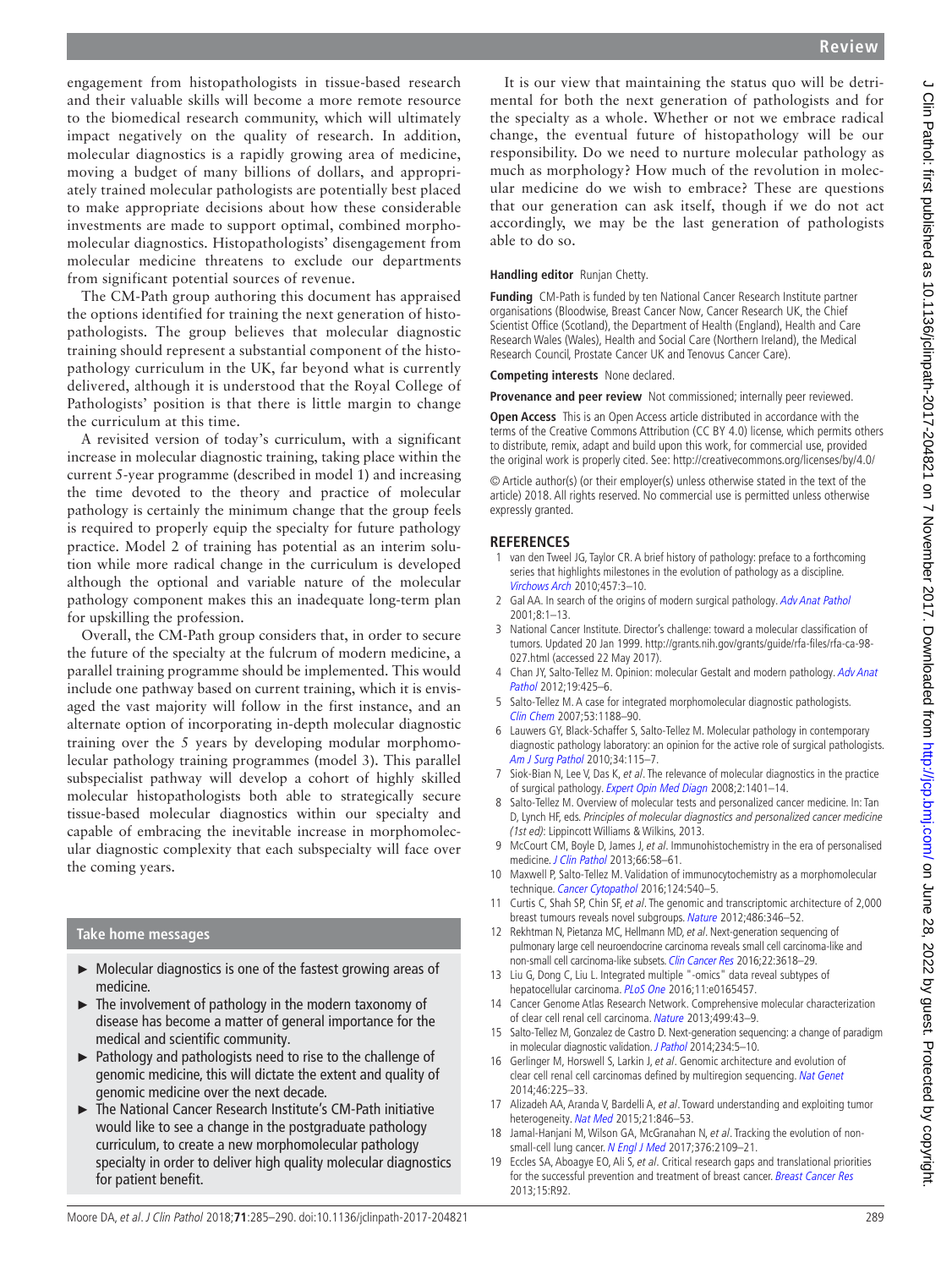J Clin Pathol: first published as 10.1136/jclinpath-2017-204821 on 7 November 2017. Downloaded from http://jcp.bmj.com/ on June 28, 2022 by guest. Protected by copyright on June 28, 2022 by guest. Protected by copyright. <http://jcp.bmj.com/> J Clin Pathol: first published as 10.1136/jclinpath-2017-204821 on 7 November 2017. Downloaded from

engagement from histopathologists in tissue-based research and their valuable skills will become a more remote resource to the biomedical research community, which will ultimately impact negatively on the quality of research. In addition, molecular diagnostics is a rapidly growing area of medicine, moving a budget of many billions of dollars, and appropriately trained molecular pathologists are potentially best placed to make appropriate decisions about how these considerable investments are made to support optimal, combined morphomolecular diagnostics. Histopathologists' disengagement from molecular medicine threatens to exclude our departments from significant potential sources of revenue.

The CM-Path group authoring this document has appraised the options identified for training the next generation of histopathologists. The group believes that molecular diagnostic training should represent a substantial component of the histopathology curriculum in the UK, far beyond what is currently delivered, although it is understood that the Royal College of Pathologists' position is that there is little margin to change the curriculum at this time.

A revisited version of today's curriculum, with a significant increase in molecular diagnostic training, taking place within the current 5-year programme (described in model 1) and increasing the time devoted to the theory and practice of molecular pathology is certainly the minimum change that the group feels is required to properly equip the specialty for future pathology practice. Model 2 of training has potential as an interim solution while more radical change in the curriculum is developed although the optional and variable nature of the molecular pathology component makes this an inadequate long-term plan for upskilling the profession.

Overall, the CM-Path group considers that, in order to secure the future of the specialty at the fulcrum of modern medicine, a parallel training programme should be implemented. This would include one pathway based on current training, which it is envisaged the vast majority will follow in the first instance, and an alternate option of incorporating in-depth molecular diagnostic training over the 5 years by developing modular morphomolecular pathology training programmes (model 3). This parallel subspecialist pathway will develop a cohort of highly skilled molecular histopathologists both able to strategically secure tissue-based molecular diagnostics within our specialty and capable of embracing the inevitable increase in morphomolecular diagnostic complexity that each subspecialty will face over the coming years.

#### **Take home messages**

- ► Molecular diagnostics is one of the fastest growing areas of medicine.
- ► The involvement of pathology in the modern taxonomy of disease has become a matter of general importance for the medical and scientific community.
- ► Pathology and pathologists need to rise to the challenge of genomic medicine, this will dictate the extent and quality of genomic medicine over the next decade.
- The National Cancer Research Institute's CM-Path initiative would like to see a change in the postgraduate pathology curriculum, to create a new morphomolecular pathology specialty in order to deliver high quality molecular diagnostics for patient benefit.

It is our view that maintaining the status quo will be detrimental for both the next generation of pathologists and for the specialty as a whole. Whether or not we embrace radical change, the eventual future of histopathology will be our responsibility. Do we need to nurture molecular pathology as much as morphology? How much of the revolution in molecular medicine do we wish to embrace? These are questions that our generation can ask itself, though if we do not act accordingly, we may be the last generation of pathologists able to do so.

#### **Handling editor** Runjan Chetty.

**Funding** CM-Path is funded by ten National Cancer Research Institute partner organisations (Bloodwise, Breast Cancer Now, Cancer Research UK, the Chief Scientist Office (Scotland), the Department of Health (England), Health and Care Research Wales (Wales), Health and Social Care (Northern Ireland), the Medical Research Council, Prostate Cancer UK and Tenovus Cancer Care).

**Competing interests** None declared.

**Provenance and peer review** Not commissioned; internally peer reviewed.

**Open Access** This is an Open Access article distributed in accordance with the terms of the Creative Commons Attribution (CC BY 4.0) license, which permits others to distribute, remix, adapt and build upon this work, for commercial use, provided the original work is properly cited. See:<http://creativecommons.org/licenses/by/4.0/>

© Article author(s) (or their employer(s) unless otherwise stated in the text of the article) 2018. All rights reserved. No commercial use is permitted unless otherwise expressly granted.

#### **References**

- <span id="page-4-0"></span>1 van den Tweel JG, Taylor CR. A brief history of pathology: preface to a forthcoming series that highlights milestones in the evolution of pathology as a discipline. [Virchows Arch](http://dx.doi.org/10.1007/s00428-010-0934-4) 2010;457:3–10.
- 2 Gal AA. In search of the origins of modern surgical pathology. [Adv Anat Pathol](http://dx.doi.org/10.1097/00125480-200101000-00001) 2001;8:1–13.
- <span id="page-4-1"></span>3 National Cancer Institute. Director's challenge: toward a molecular classification of tumors. Updated 20 Jan 1999. [http://grants.nih.gov/grants/guide/rfa-files/rfa-ca-98-](http://grants.nih.gov/grants/guide/rfa-files/rfa-ca-98-027.html) [027.html](http://grants.nih.gov/grants/guide/rfa-files/rfa-ca-98-027.html) (accessed 22 May 2017).
- <span id="page-4-2"></span>4 Chan JY, Salto-Tellez M. Opinion: molecular Gestalt and modern pathology. Adv Anat [Pathol](http://dx.doi.org/10.1097/PAP.0b013e318271a593) 2012;19:425-6.
- 5 Salto-Tellez M. A case for integrated morphomolecular diagnostic pathologists. [Clin Chem](http://dx.doi.org/10.1373/clinchem.2007.088088) 2007;53:1188–90.
- 6 Lauwers GY, Black-Schaffer S, Salto-Tellez M. Molecular pathology in contemporary diagnostic pathology laboratory: an opinion for the active role of surgical pathologists. [Am J Surg Pathol](http://dx.doi.org/10.1097/PAS.0b013e3181bbbcaa) 2010;34:115–7.
- <span id="page-4-3"></span>7 Siok-Bian N, Lee V, Das K, et al. The relevance of molecular diagnostics in the practice of surgical pathology. [Expert Opin Med Diagn](http://dx.doi.org/10.1517/17530050802506310) 2008;2:1401-14.
- <span id="page-4-4"></span>8 Salto-Tellez M. Overview of molecular tests and personalized cancer medicine. In: Tan D, Lynch HF, eds. Principles of molecular diagnostics and personalized cancer medicine (1st ed): Lippincott Williams & Wilkins, 2013.
- <span id="page-4-5"></span>9 McCourt CM, Boyle D, James J, et al. Immunohistochemistry in the era of personalised medicine. [J Clin Pathol](http://dx.doi.org/10.1136/jclinpath-2012-201140) 2013;66:58-61.
- 10 Maxwell P, Salto-Tellez M. Validation of immunocytochemistry as a morphomolecular technique. [Cancer Cytopathol](http://dx.doi.org/10.1002/cncy.21692) 2016;124:540-5.
- <span id="page-4-6"></span>11 Curtis C, Shah SP, Chin SF, et al. The genomic and transcriptomic architecture of 2,000 breast tumours reveals novel subgroups. [Nature](http://dx.doi.org/10.1038/nature10983) 2012;486:346–52.
- <span id="page-4-7"></span>12 Rekhtman N, Pietanza MC, Hellmann MD, et al. Next-generation sequencing of pulmonary large cell neuroendocrine carcinoma reveals small cell carcinoma-like and non-small cell carcinoma-like subsets. [Clin Cancer Res](http://dx.doi.org/10.1158/1078-0432.CCR-15-2946) 2016;22:3618–29.
- 13 Liu G, Dong C, Liu L. Integrated multiple "-omics" data reveal subtypes of hepatocellular carcinoma. [PLoS One](http://dx.doi.org/10.1371/journal.pone.0165457) 2016;11:e0165457.
- 14 Cancer Genome Atlas Research Network. Comprehensive molecular characterization of clear cell renal cell carcinoma. [Nature](http://dx.doi.org/10.1038/nature12222) 2013;499:43–9.
- <span id="page-4-8"></span>15 Salto-Tellez M, Gonzalez de Castro D. Next-generation sequencing: a change of paradigm in molecular diagnostic validation. [J Pathol](http://dx.doi.org/10.1002/path.4365) 2014;234:5-10.
- <span id="page-4-10"></span>16 Gerlinger M, Horswell S, Larkin J, et al. Genomic architecture and evolution of clear cell renal cell carcinomas defined by multiregion sequencing. [Nat Genet](http://dx.doi.org/10.1038/ng.2891) 2014;46:225–33.
- <span id="page-4-9"></span>17 Alizadeh AA, Aranda V, Bardelli A, et al. Toward understanding and exploiting tumor heterogeneity. [Nat Med](http://dx.doi.org/10.1038/nm.3915) 2015;21:846-53.
- <span id="page-4-11"></span>18 Jamal-Hanjani M, Wilson GA, McGranahan N, et al. Tracking the evolution of non-small-cell lung cancer. [N Engl J Med](http://dx.doi.org/10.1056/NEJMoa1616288) 2017;376:2109-21.
- <span id="page-4-12"></span>Eccles SA, Aboagye EO, Ali S, et al. Critical research gaps and translational priorities for the successful prevention and treatment of breast cancer. [Breast Cancer Res](http://dx.doi.org/10.1186/bcr3493) 2013;15:R92.